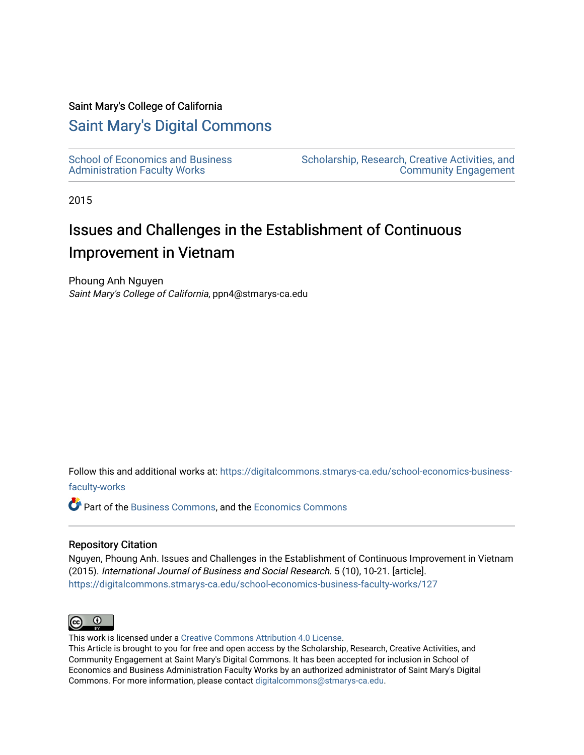#### Saint Mary's College of California

# [Saint Mary's Digital Commons](https://digitalcommons.stmarys-ca.edu/)

[School of Economics and Business](https://digitalcommons.stmarys-ca.edu/school-economics-business-faculty-works)  [Administration Faculty Works](https://digitalcommons.stmarys-ca.edu/school-economics-business-faculty-works)

[Scholarship, Research, Creative Activities, and](https://digitalcommons.stmarys-ca.edu/scholarship-research-community)  [Community Engagement](https://digitalcommons.stmarys-ca.edu/scholarship-research-community) 

2015

# Issues and Challenges in the Establishment of Continuous Improvement in Vietnam

Phoung Anh Nguyen Saint Mary's College of California, ppn4@stmarys-ca.edu

Follow this and additional works at: [https://digitalcommons.stmarys-ca.edu/school-economics-business](https://digitalcommons.stmarys-ca.edu/school-economics-business-faculty-works?utm_source=digitalcommons.stmarys-ca.edu%2Fschool-economics-business-faculty-works%2F127&utm_medium=PDF&utm_campaign=PDFCoverPages)[faculty-works](https://digitalcommons.stmarys-ca.edu/school-economics-business-faculty-works?utm_source=digitalcommons.stmarys-ca.edu%2Fschool-economics-business-faculty-works%2F127&utm_medium=PDF&utm_campaign=PDFCoverPages) 

Part of the [Business Commons](http://network.bepress.com/hgg/discipline/622?utm_source=digitalcommons.stmarys-ca.edu%2Fschool-economics-business-faculty-works%2F127&utm_medium=PDF&utm_campaign=PDFCoverPages), and the [Economics Commons](http://network.bepress.com/hgg/discipline/340?utm_source=digitalcommons.stmarys-ca.edu%2Fschool-economics-business-faculty-works%2F127&utm_medium=PDF&utm_campaign=PDFCoverPages)

#### Repository Citation

Nguyen, Phoung Anh. Issues and Challenges in the Establishment of Continuous Improvement in Vietnam (2015). International Journal of Business and Social Research. 5 (10), 10-21. [article]. [https://digitalcommons.stmarys-ca.edu/school-economics-business-faculty-works/127](https://digitalcommons.stmarys-ca.edu/school-economics-business-faculty-works/127?utm_source=digitalcommons.stmarys-ca.edu%2Fschool-economics-business-faculty-works%2F127&utm_medium=PDF&utm_campaign=PDFCoverPages) 



This work is licensed under a [Creative Commons Attribution 4.0 License](https://creativecommons.org/licenses/by/4.0/).

This Article is brought to you for free and open access by the Scholarship, Research, Creative Activities, and Community Engagement at Saint Mary's Digital Commons. It has been accepted for inclusion in School of Economics and Business Administration Faculty Works by an authorized administrator of Saint Mary's Digital Commons. For more information, please contact [digitalcommons@stmarys-ca.edu](mailto:digitalcommons@stmarys-ca.edu).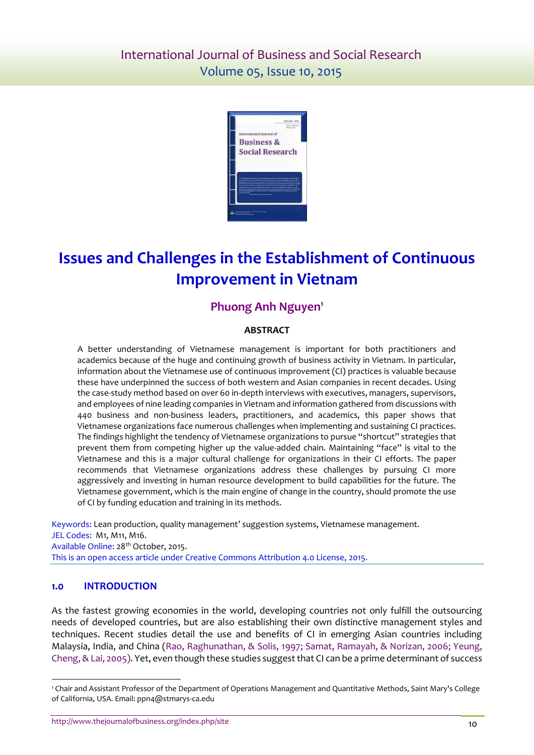

# **Issues and Challenges in the Establishment of Continuous Improvement in Vietnam**

# **Phuong Anh Nguyen 1**

## **ABSTRACT**

A better understanding of Vietnamese management is important for both practitioners and academics because of the huge and continuing growth of business activity in Vietnam. In particular, information about the Vietnamese use of continuous improvement (CI) practices is valuable because these have underpinned the success of both western and Asian companies in recent decades. Using the case-study method based on over 60 in-depth interviews with executives, managers, supervisors, and employees of nine leading companies in Vietnam and information gathered from discussions with 440 business and non-business leaders, practitioners, and academics, this paper shows that Vietnamese organizations face numerous challenges when implementing and sustaining CI practices. The findings highlight the tendency of Vietnamese organizations to pursue "shortcut" strategies that prevent them from competing higher up the value-added chain. Maintaining "face" is vital to the Vietnamese and this is a major cultural challenge for organizations in their CI efforts. The paper recommends that Vietnamese organizations address these challenges by pursuing CI more aggressively and investing in human resource development to build capabilities for the future. The Vietnamese government, which is the main engine of change in the country, should promote the use of CI by funding education and training in its methods.

Keywords: Lean production, quality management' suggestion systems, Vietnamese management. JEL Codes: M1, M11, M16. Available Online: 28<sup>th</sup> October, 2015. This is an open access article under Creative Commons Attribution 4.0 License, 2015.

## **1.0 INTRODUCTION**

l

As the fastest growing economies in the world, developing countries not only fulfill the outsourcing needs of developed countries, but are also establishing their own distinctive management styles and techniques. Recent studies detail the use and benefits of CI in emerging Asian countries including Malaysia, India, and China [\(Rao, Raghunathan, & Solis, 1997;](#page-11-0) [Samat, Ramayah, & Norizan, 2006;](#page-11-1) [Yeung,](#page-12-0)  [Cheng, & Lai, 2005\)](#page-12-0). Yet, even though these studies suggest that CI can be a prime determinant of success

<sup>1</sup> Chair and Assistant Professor of the Department of Operations Management and Quantitative Methods, Saint Mary's College of California, USA. Email: ppn4@stmarys-ca.edu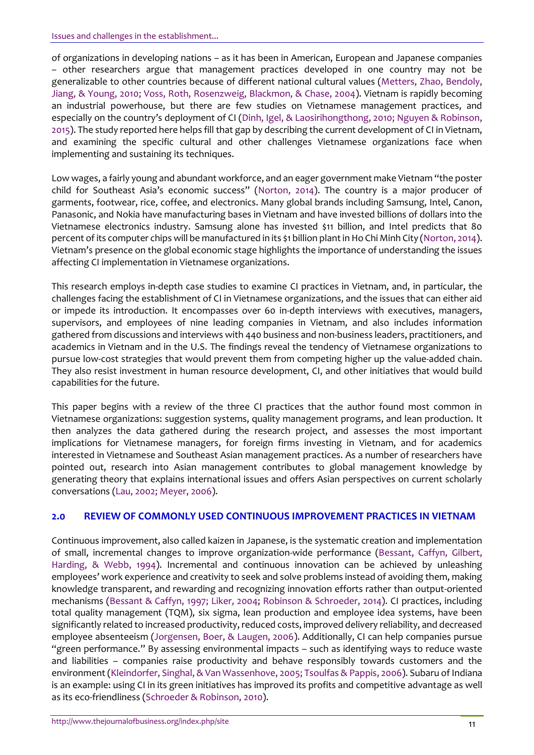of organizations in developing nations – as it has been in American, European and Japanese companies – other researchers argue that management practices developed in one country may not be generalizable to other countries because of different national cultural values [\(Metters, Zhao, Bendoly,](#page-11-2)  [Jiang, & Young, 2010;](#page-11-2) [Voss, Roth, Rosenzweig, Blackmon, & Chase, 2004\)](#page-12-1). Vietnam is rapidly becoming an industrial powerhouse, but there are few studies on Vietnamese management practices, and especially on the country's deployment of CI ([Dinh, Igel, & Laosirihongthong, 2010;](#page-10-0) [Nguyen & Robinson,](#page-11-3)  [2015\)](#page-11-3). The study reported here helps fill that gap by describing the current development of CI in Vietnam, and examining the specific cultural and other challenges Vietnamese organizations face when implementing and sustaining its techniques.

Low wages, a fairly young and abundant workforce, and an eager government make Vietnam "the poster child for Southeast Asia's economic success" ([Norton, 2014\)](#page-11-3). The country is a major producer of garments, footwear, rice, coffee, and electronics. Many global brands including Samsung, Intel, Canon, Panasonic, and Nokia have manufacturing bases in Vietnam and have invested billions of dollars into the Vietnamese electronics industry. Samsung alone has invested \$11 billion, and Intel predicts that 80 percent of its computer chips will be manufactured in its \$1 billion plant in Ho Chi Minh City [\(Norton, 2014\)](#page-11-3). Vietnam's presence on the global economic stage highlights the importance of understanding the issues affecting CI implementation in Vietnamese organizations.

This research employs in-depth case studies to examine CI practices in Vietnam, and, in particular, the challenges facing the establishment of CI in Vietnamese organizations, and the issues that can either aid or impede its introduction. It encompasses over 60 in-depth interviews with executives, managers, supervisors, and employees of nine leading companies in Vietnam, and also includes information gathered from discussions and interviews with 440 business and non-business leaders, practitioners, and academics in Vietnam and in the U.S. The findings reveal the tendency of Vietnamese organizations to pursue low-cost strategies that would prevent them from competing higher up the value-added chain. They also resist investment in human resource development, CI, and other initiatives that would build capabilities for the future.

This paper begins with a review of the three CI practices that the author found most common in Vietnamese organizations: suggestion systems, quality management programs, and lean production. It then analyzes the data gathered during the research project, and assesses the most important implications for Vietnamese managers, for foreign firms investing in Vietnam, and for academics interested in Vietnamese and Southeast Asian management practices. As a number of researchers have pointed out, research into Asian management contributes to global management knowledge by generating theory that explains international issues and offers Asian perspectives on current scholarly conversations [\(Lau, 2002;](#page-10-1) [Meyer, 2006\)](#page-11-2).

## **2.0 REVIEW OF COMMONLY USED CONTINUOUS IMPROVEMENT PRACTICES IN VIETNAM**

Continuous improvement, also called kaizen in Japanese, is the systematic creation and implementation of small, incremental changes to improve organization-wide performance [\(Bessant, Caffyn, Gilbert,](#page-9-0)  [Harding, & Webb, 1994\)](#page-9-0). Incremental and continuous innovation can be achieved by unleashing employees' work experience and creativity to seek and solve problems instead of avoiding them, making knowledge transparent, and rewarding and recognizing innovation efforts rather than output-oriented mechanisms [\(Bessant & Caffyn, 1997;](#page-9-0) [Liker, 2004;](#page-10-1) [Robinson & Schroeder, 2014\)](#page-11-0). CI practices, including total quality management (TQM), six sigma, lean production and employee idea systems, have been significantly related to increased productivity, reduced costs, improved delivery reliability, and decreased employee absenteeism [\(Jorgensen, Boer, & Laugen, 2006\)](#page-10-2). Additionally, CI can help companies pursue "green performance." By assessing environmental impacts – such as identifying ways to reduce waste and liabilities – companies raise productivity and behave responsibly towards customers and the environment [\(Kleindorfer, Singhal, & Van Wassenhove, 2005;](#page-10-3) [Tsoulfas & Pappis, 2006\)](#page-11-4). Subaru of Indiana is an example: using CI in its green initiatives has improved its profits and competitive advantage as well as its eco-friendliness [\(Schroeder & Robinson, 2010\)](#page-11-1).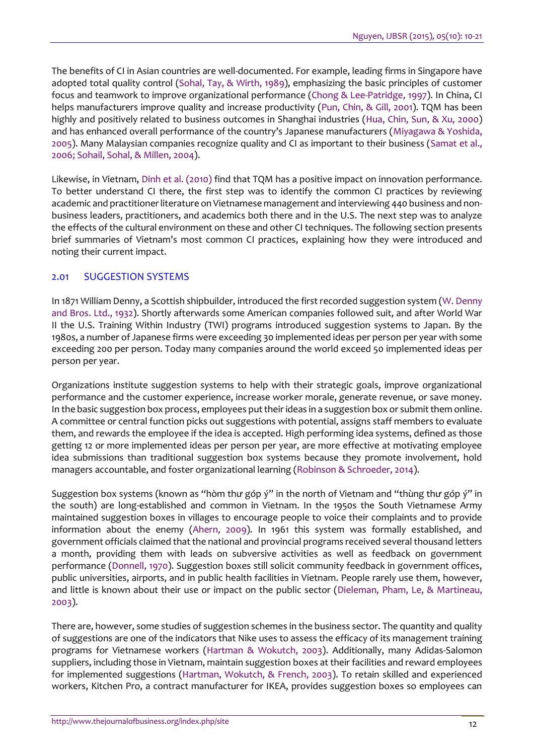The benefits of CI in Asian countries are well-documented. For example, leading firms in Singapore have adopted total quality control [\(Sohal, Tay, & Wirth, 1989\)](#page-11-5), emphasizing the basic principles of customer focus and teamwork to improve organizational performance [\(Chong & Lee-Patridge, 1997\)](#page-10-4). In China, CI helps manufacturers improve quality and increase productivity [\(Pun, Chin, & Gill, 2001\)](#page-11-6). TQM has been highly and positively related to business outcomes in Shanghai industries [\(Hua, Chin, Sun, & Xu, 2000\)](#page-10-5) and has enhanced overall performance of the country's Japanese manufacturers ([Miyagawa & Yoshida,](#page-11-2)  [2005\)](#page-11-2). Many Malaysian companies recognize quality and CI as important to their business [\(Samat et al.,](#page-11-1)  [2006;](#page-11-1) [Sohail, Sohal, & Millen, 2004\)](#page-11-5).

Likewise, in Vietnam, [Dinh et al. \(2010\)](#page-10-0) find that TQM has a positive impact on innovation performance. To better understand CI there, the first step was to identify the common CI practices by reviewing academic and practitioner literature on Vietnamese management and interviewing 440 business and nonbusiness leaders, practitioners, and academics both there and in the U.S. The next step was to analyze the effects of the cultural environment on these and other CI techniques. The following section presents brief summaries of Vietnam's most common CI practices, explaining how they were introduced and noting their current impact.

# 2.01 SUGGESTION SYSTEMS

In 1871 William Denny, a Scottish shipbuilder, introduced the first recorded suggestion system [\(W. Denny](#page-12-2)  [and Bros. Ltd., 1932\)](#page-12-2). Shortly afterwards some American companies followed suit, and after World War II the U.S. Training Within Industry (TWI) programs introduced suggestion systems to Japan. By the 1980s, a number of Japanese firms were exceeding 30 implemented ideas per person per year with some exceeding 200 per person. Today many companies around the world exceed 50 implemented ideas per person per year.

Organizations institute suggestion systems to help with their strategic goals, improve organizational performance and the customer experience, increase worker morale, generate revenue, or save money. In the basic suggestion box process, employees put their ideas in a suggestion box or submit them online. A committee or central function picks out suggestions with potential, assigns staff members to evaluate them, and rewards the employee if the idea is accepted. High performing idea systems, defined as those getting 12 or more implemented ideas per person per year, are more effective at motivating employee idea submissions than traditional suggestion box systems because they promote involvement, hold managers accountable, and foster organizational learning [\(Robinson & Schroeder, 2014\)](#page-11-0).

Suggestion box systems (known as "hòm thư góp ý" in the north of Vietnam and "thùng thư góp ý" in the south) are long-established and common in Vietnam. In the 1950s the South Vietnamese Army maintained suggestion boxes in villages to encourage people to voice their complaints and to provide information about the enemy [\(Ahern, 2009\)](#page-9-1). In 1961 this system was formally established, and government officials claimed that the national and provincial programs received several thousand letters a month, providing them with leads on subversive activities as well as feedback on government performance [\(Donnell, 1970\)](#page-10-0). Suggestion boxes still solicit community feedback in government offices, public universities, airports, and in public health facilities in Vietnam. People rarely use them, however, and little is known about their use or impact on the public sector [\(Dieleman, Pham, Le, & Martineau,](#page-10-0)  [2003\)](#page-10-0).

There are, however, some studies of suggestion schemes in the business sector. The quantity and quality of suggestions are one of the indicators that Nike uses to assess the efficacy of its management training programs for Vietnamese workers [\(Hartman & Wokutch, 2003\)](#page-10-5). Additionally, many Adidas-Salomon suppliers, including those in Vietnam, maintain suggestion boxes at their facilities and reward employees for implemented suggestions [\(Hartman, Wokutch, & French, 2003\)](#page-10-5). To retain skilled and experienced workers, Kitchen Pro, a contract manufacturer for IKEA, provides suggestion boxes so employees can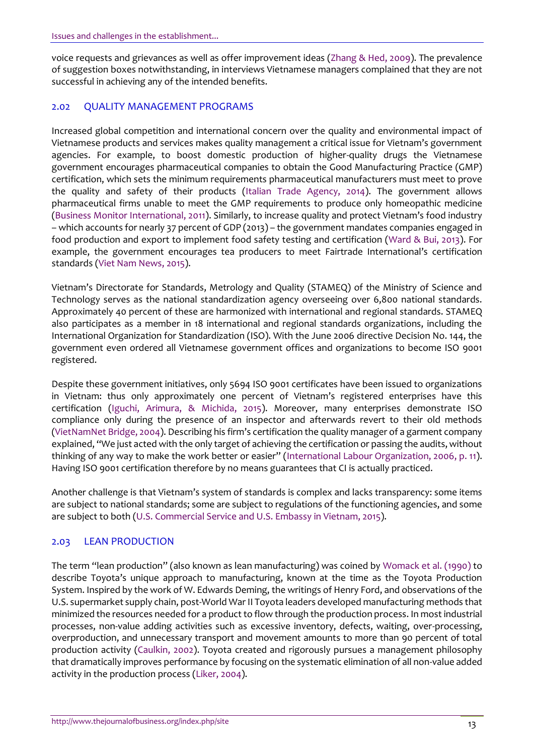voice requests and grievances as well as offer improvement ideas [\(Zhang & Hed, 2009\)](#page-12-3). The prevalence of suggestion boxes notwithstanding, in interviews Vietnamese managers complained that they are not successful in achieving any of the intended benefits.

# 2.02 QUALITY MANAGEMENT PROGRAMS

Increased global competition and international concern over the quality and environmental impact of Vietnamese products and services makes quality management a critical issue for Vietnam's government agencies. For example, to boost domestic production of higher-quality drugs the Vietnamese government encourages pharmaceutical companies to obtain the Good Manufacturing Practice (GMP) certification, which sets the minimum requirements pharmaceutical manufacturers must meet to prove the quality and safety of their products [\(Italian Trade Agency, 2014\)](#page-10-6). The government allows pharmaceutical firms unable to meet the GMP requirements to produce only homeopathic medicine [\(Business Monitor International, 2011\)](#page-9-0). Similarly, to increase quality and protect Vietnam's food industry – which accounts for nearly 37 percent of GDP (2013) – the government mandates companies engaged in food production and export to implement food safety testing and certification [\(Ward & Bui, 2013\)](#page-12-2). For example, the government encourages tea producers to meet Fairtrade International's certification standards [\(Viet Nam News, 2015\)](#page-12-1).

Vietnam's Directorate for Standards, Metrology and Quality (STAMEQ) of the Ministry of Science and Technology serves as the national standardization agency overseeing over 6,800 national standards. Approximately 40 percent of these are harmonized with international and regional standards. STAMEQ also participates as a member in 18 international and regional standards organizations, including the International Organization for Standardization (ISO). With the June 2006 directive Decision No. 144, the government even ordered all Vietnamese government offices and organizations to become ISO 9001 registered.

Despite these government initiatives, only 5694 ISO 9001 certificates have been issued to organizations in Vietnam: thus only approximately one percent of Vietnam's registered enterprises have this certification [\(Iguchi, Arimura, & Michida, 2015\)](#page-10-6). Moreover, many enterprises demonstrate ISO compliance only during the presence of an inspector and afterwards revert to their old methods [\(VietNamNet Bridge, 2004](#page-12-1)). Describing his firm's certification the quality manager of a garment company explained, "We just acted with the only target of achieving the certification or passing the audits, without thinking of any way to make the work better or easier" ([International Labour Organization, 2006, p. 11\)](#page-10-6). Having ISO 9001 certification therefore by no means guarantees that CI is actually practiced.

Another challenge is that Vietnam's system of standards is complex and lacks transparency: some items are subject to national standards; some are subject to regulations of the functioning agencies, and some are subject to both [\(U.S. Commercial Service and U.S. Embassy in Vietnam, 2015\)](#page-11-7).

# 2.03 LEAN PRODUCTION

The term "lean production" (also known as lean manufacturing) was coined by [Womack et al. \(1990\)](#page-12-2) to describe Toyota's unique approach to manufacturing, known at the time as the Toyota Production System. Inspired by the work of W. Edwards Deming, the writings of Henry Ford, and observations of the U.S. supermarket supply chain, post-World War II Toyota leaders developed manufacturing methods that minimized the resources needed for a product to flow through the production process. In most industrial processes, non-value adding activities such as excessive inventory, defects, waiting, over-processing, overproduction, and unnecessary transport and movement amounts to more than 90 percent of total production activity [\(Caulkin, 2002\)](#page-10-4). Toyota created and rigorously pursues a management philosophy that dramatically improves performance by focusing on the systematic elimination of all non-value added activity in the production process [\(Liker, 2004\)](#page-10-1).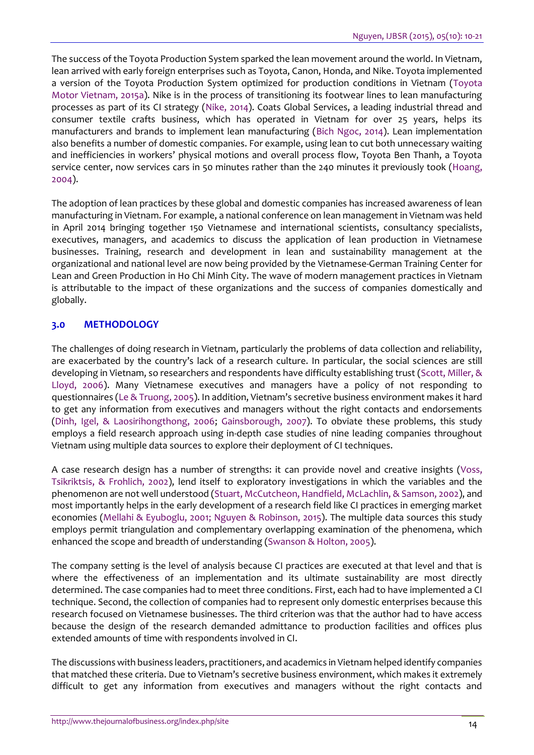The success of the Toyota Production System sparked the lean movement around the world. In Vietnam, lean arrived with early foreign enterprises such as Toyota, Canon, Honda, and Nike. Toyota implemented a version of the Toyota Production System optimized for production conditions in Vietnam [\(Toyota](#page-11-4)  [Motor Vietnam, 2015a\)](#page-11-4). Nike is in the process of transitioning its footwear lines to lean manufacturing processes as part of its CI strategy [\(Nike, 2014\)](#page-11-3). Coats Global Services, a leading industrial thread and consumer textile crafts business, which has operated in Vietnam for over 25 years, helps its manufacturers and brands to implement lean manufacturing [\(Bich Ngoc, 2014\)](#page-9-0). Lean implementation also benefits a number of domestic companies. For example, using lean to cut both unnecessary waiting and inefficiencies in workers' physical motions and overall process flow, Toyota Ben Thanh, a Toyota service center, now services cars in 50 minutes rather than the 240 minutes it previously took [\(Hoang,](#page-10-5)  [2004\)](#page-10-5).

The adoption of lean practices by these global and domestic companies has increased awareness of lean manufacturing in Vietnam. For example, a national conference on lean management in Vietnam was held in April 2014 bringing together 150 Vietnamese and international scientists, consultancy specialists, executives, managers, and academics to discuss the application of lean production in Vietnamese businesses. Training, research and development in lean and sustainability management at the organizational and national level are now being provided by the Vietnamese-German Training Center for Lean and Green Production in Ho Chi Minh City. The wave of modern management practices in Vietnam is attributable to the impact of these organizations and the success of companies domestically and globally.

## **3.0 METHODOLOGY**

The challenges of doing research in Vietnam, particularly the problems of data collection and reliability, are exacerbated by the country's lack of a research culture. In particular, the social sciences are still developing in Vietnam, so researchers and respondents have difficulty establishing trust [\(Scott, Miller, &](#page-11-1)  [Lloyd, 2006\)](#page-11-1). Many Vietnamese executives and managers have a policy of not responding to questionnaires [\(Le & Truong, 2005](#page-10-1)). In addition, Vietnam's secretive business environment makes it hard to get any information from executives and managers without the right contacts and endorsements [\(Dinh, Igel, & Laosirihongthong, 2006;](#page-10-0) [Gainsborough, 2007\)](#page-10-7). To obviate these problems, this study employs a field research approach using in-depth case studies of nine leading companies throughout Vietnam using multiple data sources to explore their deployment of CI techniques.

A case research design has a number of strengths: it can provide novel and creative insights [\(Voss,](#page-12-1)  [Tsikriktsis, & Frohlich, 2002\)](#page-12-1), lend itself to exploratory investigations in which the variables and the phenomenon are not well understood [\(Stuart, McCutcheon, Handfield, McLachlin, & Samson, 2002\)](#page-11-5), and most importantly helps in the early development of a research field like CI practices in emerging market economies [\(Mellahi & Eyuboglu, 2001;](#page-11-2) [Nguyen & Robinson, 2015\)](#page-11-3). The multiple data sources this study employs permit triangulation and complementary overlapping examination of the phenomena, which enhanced the scope and breadth of understanding [\(Swanson & Holton, 2005\)](#page-11-5).

The company setting is the level of analysis because CI practices are executed at that level and that is where the effectiveness of an implementation and its ultimate sustainability are most directly determined. The case companies had to meet three conditions. First, each had to have implemented a CI technique. Second, the collection of companies had to represent only domestic enterprises because this research focused on Vietnamese businesses. The third criterion was that the author had to have access because the design of the research demanded admittance to production facilities and offices plus extended amounts of time with respondents involved in CI.

The discussions with business leaders, practitioners, and academics in Vietnam helped identify companies that matched these criteria. Due to Vietnam's secretive business environment, which makes it extremely difficult to get any information from executives and managers without the right contacts and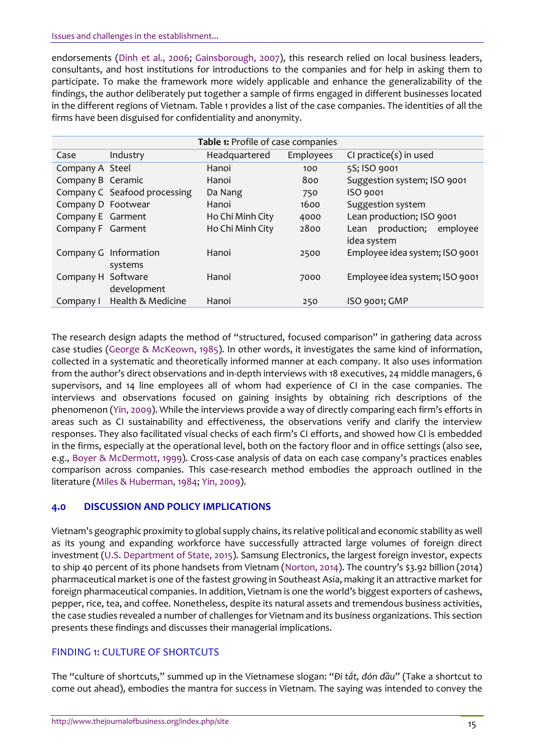endorsements (Dinh [et al., 2006;](#page-10-0) [Gainsborough, 2007\)](#page-10-7), this research relied on local business leaders, consultants, and host institutions for introductions to the companies and for help in asking them to participate. To make the framework more widely applicable and enhance the generalizability of the findings, the author deliberately put together a sample of firms engaged in different businesses located in the different regions of Vietnam. Table 1 provides a list of the case companies. The identities of all the firms have been disguised for confidentiality and anonymity.

| Table 1: Profile of case companies |                                  |                  |           |                                             |
|------------------------------------|----------------------------------|------------------|-----------|---------------------------------------------|
| Case                               | Industry                         | Headquartered    | Employees | CI practice(s) in used                      |
| Company A Steel                    |                                  | Hanoi            | 100       | 5S; ISO 9001                                |
| Company B Ceramic                  |                                  | Hanoi            | 800       | Suggestion system; ISO 9001                 |
|                                    | Company C Seafood processing     | Da Nang          | 750       | ISO 9001                                    |
| Company D Footwear                 |                                  | Hanoi            | 1600      | Suggestion system                           |
| Company E Garment                  |                                  | Ho Chi Minh City | 4000      | Lean production; ISO 9001                   |
| Company F Garment                  |                                  | Ho Chi Minh City | 2800      | production; employee<br>Lean<br>idea system |
|                                    | Company G Information<br>systems | Hanoi            | 2500      | Employee idea system; ISO 9001              |
| Company H Software                 | development                      | Hanoi            | 7000      | Employee idea system; ISO 9001              |
| Company I                          | Health & Medicine                | Hanoi            | 250       | ISO 9001; GMP                               |

The research design adapts the method of "structured, focused comparison" in gathering data across case studies [\(George & McKeown, 1985\)](#page-10-7). In other words, it investigates the same kind of information, collected in a systematic and theoretically informed manner at each company. It also uses information from the author's direct observations and in-depth interviews with 18 executives, 24 middle managers, 6 supervisors, and 14 line employees all of whom had experience of CI in the case companies. The interviews and observations focused on gaining insights by obtaining rich descriptions of the phenomenon [\(Yin, 2009](#page-12-0)). While the interviews provide a way of directly comparing each firm's efforts in areas such as CI sustainability and effectiveness, the observations verify and clarify the interview responses. They also facilitated visual checks of each firm's CI efforts, and showed how CI is embedded in the firms, especially at the operational level, both on the factory floor and in office settings (also see, e.g., [Boyer & McDermott, 1999\)](#page-9-0). Cross-case analysis of data on each case company's practices enables comparison across companies. This case-research method embodies the approach outlined in the literature [\(Miles & Huberman, 1984;](#page-11-2) [Yin, 2009\)](#page-12-0).

# **4.0 DISCUSSION AND POLICY IMPLICATIONS**

Vietnam's geographic proximity to global supply chains, its relative political and economic stability as well as its young and expanding workforce have successfully attracted large volumes of foreign direct investment [\(U.S. Department of State, 2015\)](#page-11-7). Samsung Electronics, the largest foreign investor, expects to ship 40 percent of its phone handsets from Vietnam [\(Norton, 2014](#page-11-3)). The country's \$3.92 billion (2014) pharmaceutical market is one of the fastest growing in Southeast Asia, making it an attractive market for foreign pharmaceutical companies. In addition, Vietnam is one the world's biggest exporters of cashews, pepper, rice, tea, and coffee. Nonetheless, despite its natural assets and tremendous business activities, the case studies revealed a number of challenges for Vietnam and its business organizations. This section presents these findings and discusses their managerial implications.

# FINDING 1: CULTURE OF SHORTCUTS

The "culture of shortcuts," summed up in the Vietnamese slogan: "*Đi tắt, đón đầu*" (Take a shortcut to come out ahead), embodies the mantra for success in Vietnam. The saying was intended to convey the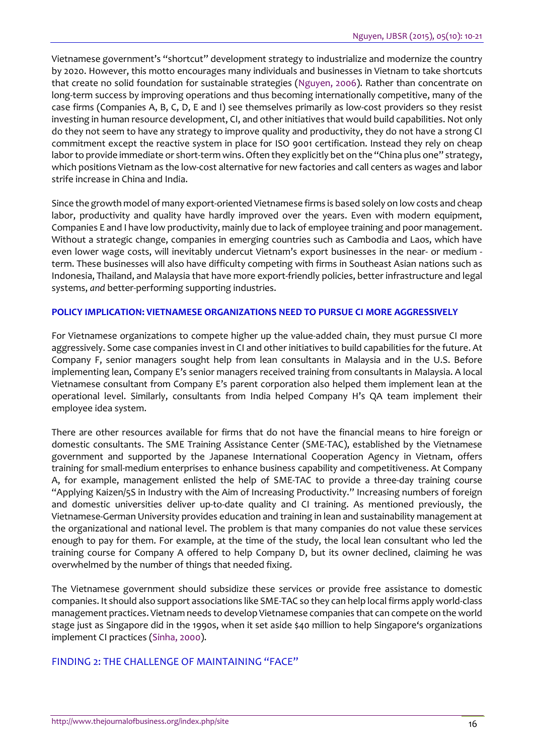Vietnamese government's "shortcut" development strategy to industrialize and modernize the country by 2020. However, this motto encourages many individuals and businesses in Vietnam to take shortcuts that create no solid foundation for sustainable strategies [\(Nguyen, 2006\)](#page-11-3). Rather than concentrate on long-term success by improving operations and thus becoming internationally competitive, many of the case firms (Companies A, B, C, D, E and I) see themselves primarily as low-cost providers so they resist investing in human resource development, CI, and other initiatives that would build capabilities. Not only do they not seem to have any strategy to improve quality and productivity, they do not have a strong CI commitment except the reactive system in place for ISO 9001 certification. Instead they rely on cheap labor to provide immediate or short-term wins. Often they explicitly bet on the "China plus one" strategy, which positions Vietnam as the low-cost alternative for new factories and call centers as wages and labor strife increase in China and India.

Since the growth model of many export-oriented Vietnamese firms is based solely on low costs and cheap labor, productivity and quality have hardly improved over the years. Even with modern equipment, Companies E and I have low productivity, mainly due to lack of employee training and poor management. Without a strategic change, companies in emerging countries such as Cambodia and Laos, which have even lower wage costs, will inevitably undercut Vietnam's export businesses in the near- or medium term. These businesses will also have difficulty competing with firms in Southeast Asian nations such as Indonesia, Thailand, and Malaysia that have more export-friendly policies, better infrastructure and legal systems, *and* better-performing supporting industries.

#### **POLICY IMPLICATION: VIETNAMESE ORGANIZATIONS NEED TO PURSUE CI MORE AGGRESSIVELY**

For Vietnamese organizations to compete higher up the value-added chain, they must pursue CI more aggressively. Some case companies invest in CI and other initiatives to build capabilities for the future. At Company F, senior managers sought help from lean consultants in Malaysia and in the U.S. Before implementing lean, Company E's senior managers received training from consultants in Malaysia. A local Vietnamese consultant from Company E's parent corporation also helped them implement lean at the operational level. Similarly, consultants from India helped Company H's QA team implement their employee idea system.

There are other resources available for firms that do not have the financial means to hire foreign or domestic consultants. The SME Training Assistance Center (SME-TAC), established by the Vietnamese government and supported by the Japanese International Cooperation Agency in Vietnam, offers training for small-medium enterprises to enhance business capability and competitiveness. At Company A, for example, management enlisted the help of SME-TAC to provide a three-day training course "Applying Kaizen/5S in Industry with the Aim of Increasing Productivity." Increasing numbers of foreign and domestic universities deliver up-to-date quality and CI training. As mentioned previously, the Vietnamese-German University provides education and training in lean and sustainability management at the organizational and national level. The problem is that many companies do not value these services enough to pay for them. For example, at the time of the study, the local lean consultant who led the training course for Company A offered to help Company D, but its owner declined, claiming he was overwhelmed by the number of things that needed fixing.

The Vietnamese government should subsidize these services or provide free assistance to domestic companies. It should also support associations like SME-TAC so they can help local firms apply world-class management practices. Vietnam needs to develop Vietnamese companies that can compete on the world stage just as Singapore did in the 1990s, when it set aside \$40 million to help Singapore's organizations implement CI practices [\(Sinha, 2000\)](#page-11-5).

## FINDING 2: THE CHALLENGE OF MAINTAINING "FACE"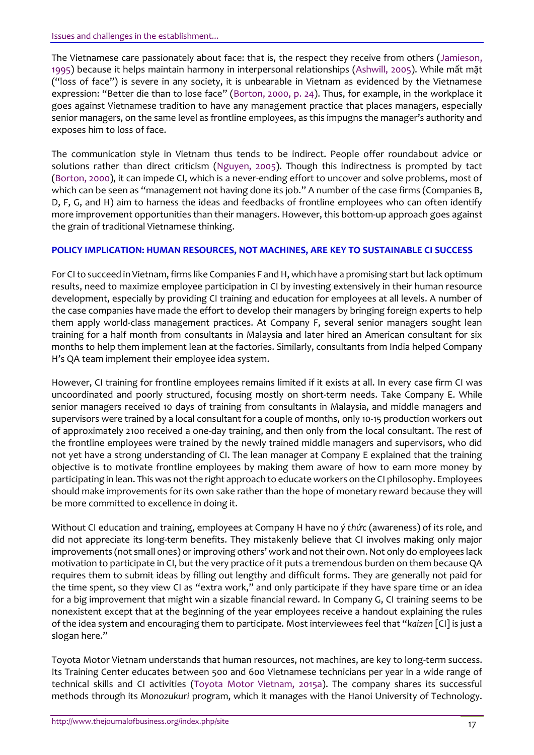The Vietnamese care passionately about face: that is, the respect they receive from others [\(Jamieson,](#page-10-2)  [1995\)](#page-10-2) because it helps maintain harmony in interpersonal relationships [\(Ashwill, 2005\)](#page-9-1). While mất mặt ("loss of face") is severe in any society, it is unbearable in Vietnam as evidenced by the Vietnamese expression: "Better die than to lose face" ([Borton, 2000, p. 24\)](#page-9-0). Thus, for example, in the workplace it goes against Vietnamese tradition to have any management practice that places managers, especially senior managers, on the same level as frontline employees, as this impugns the manager's authority and exposes him to loss of face.

The communication style in Vietnam thus tends to be indirect. People offer roundabout advice or solutions rather than direct criticism [\(Nguyen, 2005\)](#page-11-3). Though this indirectness is prompted by tact [\(Borton, 2000\)](#page-9-0), it can impede CI, which is a never-ending effort to uncover and solve problems, most of which can be seen as "management not having done its job." A number of the case firms (Companies B, D, F, G, and H) aim to harness the ideas and feedbacks of frontline employees who can often identify more improvement opportunities than their managers. However, this bottom-up approach goes against the grain of traditional Vietnamese thinking.

#### **POLICY IMPLICATION: HUMAN RESOURCES, NOT MACHINES, ARE KEY TO SUSTAINABLE CI SUCCESS**

For CI to succeed in Vietnam, firms like Companies F and H, which have a promising start but lack optimum results, need to maximize employee participation in CI by investing extensively in their human resource development, especially by providing CI training and education for employees at all levels. A number of the case companies have made the effort to develop their managers by bringing foreign experts to help them apply world-class management practices. At Company F, several senior managers sought lean training for a half month from consultants in Malaysia and later hired an American consultant for six months to help them implement lean at the factories. Similarly, consultants from India helped Company H's QA team implement their employee idea system.

However, CI training for frontline employees remains limited if it exists at all. In every case firm CI was uncoordinated and poorly structured, focusing mostly on short-term needs. Take Company E. While senior managers received 10 days of training from consultants in Malaysia, and middle managers and supervisors were trained by a local consultant for a couple of months, only 10-15 production workers out of approximately 2100 received a one-day training, and then only from the local consultant. The rest of the frontline employees were trained by the newly trained middle managers and supervisors, who did not yet have a strong understanding of CI. The lean manager at Company E explained that the training objective is to motivate frontline employees by making them aware of how to earn more money by participating in lean. This was not the right approach to educate workers on the CI philosophy. Employees should make improvements for its own sake rather than the hope of monetary reward because they will be more committed to excellence in doing it.

Without CI education and training, employees at Company H have no *[ý thức](http://vietbao.vn/Van-hoa/Y-thuc-va-tiem-thuc/40226863/184/)* (awareness) of its role, and did not appreciate its long-term benefits. They mistakenly believe that CI involves making only major improvements (not small ones) or improving others' work and not their own. Not only do employees lack motivation to participate in CI, but the very practice of it puts a tremendous burden on them because QA requires them to submit ideas by filling out lengthy and difficult forms. They are generally not paid for the time spent, so they view CI as "extra work," and only participate if they have spare time or an idea for a big improvement that might win a sizable financial reward. In Company G, CI training seems to be nonexistent except that at the beginning of the year employees receive a handout explaining the rules of the idea system and encouraging them to participate. Most interviewees feel that "*kaizen* [CI] is just a slogan here."

Toyota Motor Vietnam understands that human resources, not machines, are key to long-term success. Its Training Center educates between 500 and 600 Vietnamese technicians per year in a wide range of technical skills and CI activities [\(Toyota Motor Vietnam, 2015a\)](#page-11-4). The company shares its successful methods through its *Monozukuri* program, which it manages with the Hanoi University of Technology.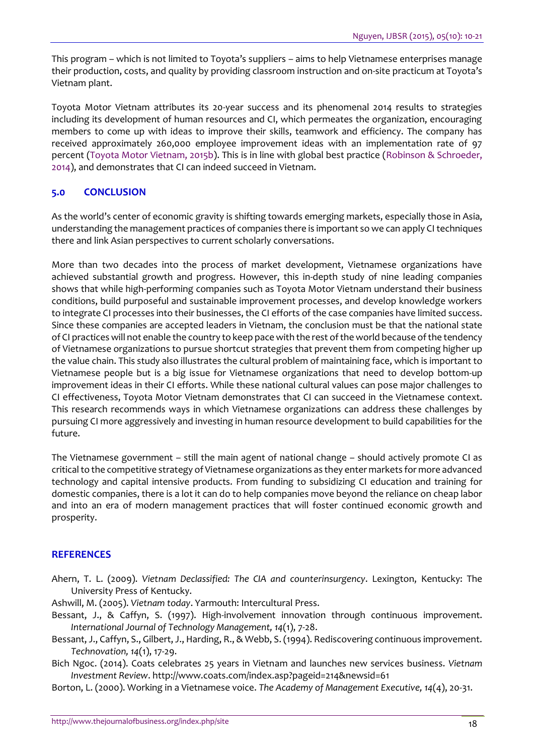This program – which is not limited to Toyota's suppliers – aims to help Vietnamese enterprises manage their production, costs, and quality by providing classroom instruction and on-site practicum at Toyota's Vietnam plant.

Toyota Motor Vietnam attributes its 20-year success and its phenomenal 2014 results to strategies including its development of human resources and CI, which permeates the organization, encouraging members to come up with ideas to improve their skills, teamwork and efficiency. The company has received approximately 260,000 employee improvement ideas with an implementation rate of 97 percent [\(Toyota Motor Vietnam, 2015b\)](#page-11-4). This is in line with global best practice [\(Robinson & Schroeder,](#page-11-0)  [2014\)](#page-11-0), and demonstrates that CI can indeed succeed in Vietnam.

# **5.0 CONCLUSION**

As the world's center of economic gravity is shifting towards emerging markets, especially those in Asia, understanding the management practices of companies there is important so we can apply CI techniques there and link Asian perspectives to current scholarly conversations.

More than two decades into the process of market development, Vietnamese organizations have achieved substantial growth and progress. However, this in-depth study of nine leading companies shows that while high-performing companies such as Toyota Motor Vietnam understand their business conditions, build purposeful and sustainable improvement processes, and develop knowledge workers to integrate CI processes into their businesses, the CI efforts of the case companies have limited success. Since these companies are accepted leaders in Vietnam, the conclusion must be that the national state of CI practices will not enable the country to keep pace with the rest of the world because of the tendency of Vietnamese organizations to pursue shortcut strategies that prevent them from competing higher up the value chain. This study also illustrates the cultural problem of maintaining face, which is important to Vietnamese people but is a big issue for Vietnamese organizations that need to develop bottom-up improvement ideas in their CI efforts. While these national cultural values can pose major challenges to CI effectiveness, Toyota Motor Vietnam demonstrates that CI can succeed in the Vietnamese context. This research recommends ways in which Vietnamese organizations can address these challenges by pursuing CI more aggressively and investing in human resource development to build capabilities for the future.

The Vietnamese government – still the main agent of national change – should actively promote CI as critical to the competitive strategy of Vietnamese organizations as they enter markets for more advanced technology and capital intensive products. From funding to subsidizing CI education and training for domestic companies, there is a lot it can do to help companies move beyond the reliance on cheap labor and into an era of modern management practices that will foster continued economic growth and prosperity.

## **REFERENCES**

Ahern, T. L. (2009). *Vietnam Declassified: The CIA and counterinsurgency*. Lexington, Kentucky: The University Press of Kentucky.

<span id="page-9-1"></span>Ashwill, M. (2005). *Vietnam today*. Yarmouth: Intercultural Press.

- Bessant, J., & Caffyn, S. (1997). High-involvement innovation through continuous improvement. *International Journal of Technology Management, 14*(1), 7-28.
- Bessant, J., Caffyn, S., Gilbert, J., Harding, R., & Webb, S. (1994). Rediscovering continuous improvement. *Technovation, 14*(1), 17-29.
- <span id="page-9-0"></span>Bich Ngoc. (2014). Coats celebrates 25 years in Vietnam and launches new services business. *Vietnam Investment Review*.<http://www.coats.com/index.asp?pageid=214&newsid=61>

Borton, L. (2000). Working in a Vietnamese voice. *The Academy of Management Executive, 14*(4), 20-31.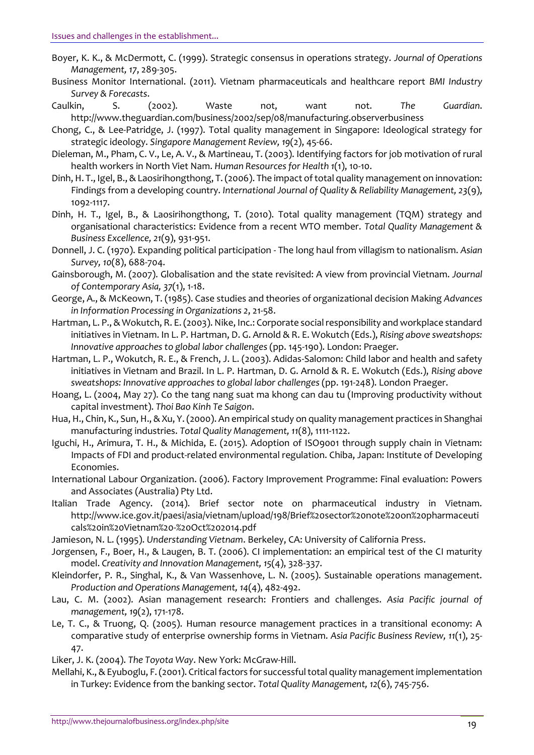- Boyer, K. K., & McDermott, C. (1999). Strategic consensus in operations strategy. *Journal of Operations Management, 17*, 289-305.
- Business Monitor International. (2011). Vietnam pharmaceuticals and healthcare report *BMI Industry Survey & Forecasts*.
- Caulkin, S. (2002). Waste not, want not. *The Guardian*. <http://www.theguardian.com/business/2002/sep/08/manufacturing.observerbusiness>
- <span id="page-10-4"></span>Chong, C., & Lee-Patridge, J. (1997). Total quality management in Singapore: Ideological strategy for strategic ideology. *Singapore Management Review, 19*(2), 45-66.
- Dieleman, M., Pham, C. V., Le, A. V., & Martineau, T. (2003). Identifying factors for job motivation of rural health workers in North Viet Nam. *Human Resources for Health 1*(1), 10-10.
- Dinh, H. T., Igel, B., & Laosirihongthong, T. (2006). The impact of total quality management on innovation: Findings from a developing country. *International Journal of Quality & Reliability Management, 23*(9), 1092-1117.
- <span id="page-10-0"></span>Dinh, H. T., Igel, B., & Laosirihongthong, T. (2010). Total quality management (TQM) strategy and organisational characteristics: Evidence from a recent WTO member. *Total Quality Management & Business Excellence, 21*(9), 931-951.
- Donnell, J. C. (1970). Expanding political participation The long haul from villagism to nationalism. *Asian Survey, 10*(8), 688-704.
- Gainsborough, M. (2007). Globalisation and the state revisited: A view from provincial Vietnam. *Journal of Contemporary Asia, 37*(1), 1-18.
- <span id="page-10-7"></span>George, A., & McKeown, T. (1985). Case studies and theories of organizational decision Making *Advances in Information Processing in Organizations 2*, 21-58.
- Hartman, L. P., & Wokutch, R. E. (2003). Nike, Inc.: Corporate social responsibility and workplace standard initiatives in Vietnam. In L. P. Hartman, D. G. Arnold & R. E. Wokutch (Eds.), *Rising above sweatshops: Innovative approaches to global labor challenges* (pp. 145-190). London: Praeger.
- <span id="page-10-5"></span>Hartman, L. P., Wokutch, R. E., & French, J. L. (2003). Adidas-Salomon: Child labor and health and safety initiatives in Vietnam and Brazil. In L. P. Hartman, D. G. Arnold & R. E. Wokutch (Eds.), *Rising above sweatshops: Innovative approaches to global labor challenges* (pp. 191-248). London Praeger.
- Hoang, L. (2004, May 27). Co the tang nang suat ma khong can dau tu (Improving productivity without capital investment). *Thoi Bao Kinh Te Saigon*.
- Hua, H., Chin, K., Sun, H., & Xu, Y. (2000). An empirical study on quality management practices in Shanghai manufacturing industries. *Total Quality Management, 11*(8), 1111-1122.
- Iguchi, H., Arimura, T. H., & Michida, E. (2015). Adoption of ISO9001 through supply chain in Vietnam: Impacts of FDI and product-related environmental regulation. Chiba, Japan: Institute of Developing Economies.
- <span id="page-10-6"></span>International Labour Organization. (2006). Factory Improvement Programme: Final evaluation: Powers and Associates (Australia) Pty Ltd.
- Italian Trade Agency. (2014). Brief sector note on pharmaceutical industry in Vietnam. [http://www.ice.gov.it/paesi/asia/vietnam/upload/198/Brief%20sector%20note%20on%20pharmaceuti](http://www.ice.gov.it/paesi/asia/vietnam/upload/198/Brief%20sector%20note%20on%20pharmaceuticals%20in%20Vietnam%20-%20Oct%202014.pdf) [cals%20in%20Vietnam%20-%20Oct%202014.pdf](http://www.ice.gov.it/paesi/asia/vietnam/upload/198/Brief%20sector%20note%20on%20pharmaceuticals%20in%20Vietnam%20-%20Oct%202014.pdf)
- Jamieson, N. L. (1995). *Understanding Vietnam*. Berkeley, CA: University of California Press.
- <span id="page-10-2"></span>Jorgensen, F., Boer, H., & Laugen, B. T. (2006). CI implementation: an empirical test of the CI maturity model. *Creativity and Innovation Management, 15*(4), 328-337.
- <span id="page-10-3"></span>Kleindorfer, P. R., Singhal, K., & Van Wassenhove, L. N. (2005). Sustainable operations management. *Production and Operations Management, 14*(4), 482-492.
- Lau, C. M. (2002). Asian management research: Frontiers and challenges. *Asia Pacific journal of management, 19*(2), 171-178.
- <span id="page-10-1"></span>Le, T. C., & Truong, Q. (2005). Human resource management practices in a transitional economy: A comparative study of enterprise ownership forms in Vietnam. *Asia Pacific Business Review, 11*(1), 25- 47.
- Liker, J. K. (2004). *The Toyota Way*. New York: McGraw-Hill.
- Mellahi, K., & Eyuboglu, F. (2001). Critical factors for successful total quality management implementation in Turkey: Evidence from the banking sector. *Total Quality Management, 12*(6), 745-756.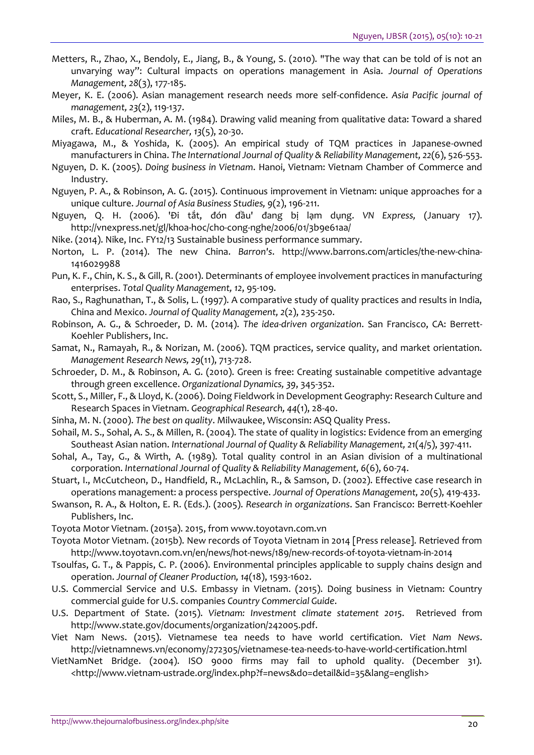- <span id="page-11-2"></span>Metters, R., Zhao, X., Bendoly, E., Jiang, B., & Young, S. (2010). "The way that can be told of is not an unvarying way": Cultural impacts on operations management in Asia. *Journal of Operations Management, 28*(3), 177-185.
- Meyer, K. E. (2006). Asian management research needs more self-confidence. *Asia Pacific journal of management, 23*(2), 119-137.
- Miles, M. B., & Huberman, A. M. (1984). Drawing valid meaning from qualitative data: Toward a shared craft. *Educational Researcher, 13*(5), 20-30.
- Miyagawa, M., & Yoshida, K. (2005). An empirical study of TQM practices in Japanese-owned manufacturers in China. *The International Journal of Quality & Reliability Management, 22*(6), 526-553.
- Nguyen, D. K. (2005). *Doing business in Vietnam*. Hanoi, Vietnam: Vietnam Chamber of Commerce and Industry.
- Nguyen, P. A., & Robinson, A. G. (2015). Continuous improvement in Vietnam: unique approaches for a unique culture. *Journal of Asia Business Studies, 9*(2), 196-211.
- <span id="page-11-3"></span>Nguyen, Q. H. (2006). 'Đi tắt, đón đầu' đang bị lạm dụng. *VN Express,* (January 17). <http://vnexpress.net/gl/khoa-hoc/cho-cong-nghe/2006/01/3b9e61aa/>
- Nike. (2014). Nike, Inc. FY12/13 Sustainable business performance summary.
- Norton, L. P. (2014). The new China. *Barron's*. [http://www.barrons.com/articles/the-new-china-](http://www.barrons.com/articles/the-new-china-1416029988)[1416029988](http://www.barrons.com/articles/the-new-china-1416029988)
- <span id="page-11-6"></span>Pun, K. F., Chin, K. S., & Gill, R. (2001). Determinants of employee involvement practices in manufacturing enterprises. *Total Quality Management, 12*, 95-109.
- Rao, S., Raghunathan, T., & Solis, L. (1997). A comparative study of quality practices and results in India, China and Mexico. *Journal of Quality Management, 2*(2), 235-250.
- <span id="page-11-0"></span>Robinson, A. G., & Schroeder, D. M. (2014). *The idea-driven organization*. San Francisco, CA: Berrett-Koehler Publishers, Inc.
- Samat, N., Ramayah, R., & Norizan, M. (2006). TQM practices, service quality, and market orientation. *Management Research News, 29*(11), 713-728.
- Schroeder, D. M., & Robinson, A. G. (2010). Green is free: Creating sustainable competitive advantage through green excellence. *Organizational Dynamics, 39*, 345-352.
- <span id="page-11-1"></span>Scott, S., Miller, F., & Lloyd, K. (2006). Doing Fieldwork in Development Geography: Research Culture and Research Spaces in Vietnam. *Geographical Research, 44*(1), 28-40.
- Sinha, M. N. (2000). *The best on quality*. Milwaukee, Wisconsin: ASQ Quality Press.
- Sohail, M. S., Sohal, A. S., & Millen, R. (2004). The state of quality in logistics: Evidence from an emerging Southeast Asian nation. *International Journal of Quality & Reliability Management, 21*(4/5), 397-411.
- <span id="page-11-5"></span>Sohal, A., Tay, G., & Wirth, A. (1989). Total quality control in an Asian division of a multinational corporation. *International Journal of Quality & Reliability Management, 6*(6), 60-74.
- Stuart, I., McCutcheon, D., Handfield, R., McLachlin, R., & Samson, D. (2002). Effective case research in operations management: a process perspective. *Journal of Operations Management, 20*(5), 419-433.
- Swanson, R. A., & Holton, E. R. (Eds.). (2005). *Research in organizations*. San Francisco: Berrett-Koehler Publishers, Inc.
- Toyota Motor Vietnam. (2015a). 2015, from [www.toyotavn.com.vn](http://www.toyotavn.com.vn/)
- <span id="page-11-4"></span>Toyota Motor Vietnam. (2015b). New records of Toyota Vietnam in 2014 [Press release]. Retrieved from <http://www.toyotavn.com.vn/en/news/hot-news/189/new-records-of-toyota-vietnam-in-2014>
- Tsoulfas, G. T., & Pappis, C. P. (2006). Environmental principles applicable to supply chains design and operation. *Journal of Cleaner Production, 14*(18), 1593-1602.
- U.S. Commercial Service and U.S. Embassy in Vietnam. (2015). Doing business in Vietnam: Country commercial guide for U.S. companies *Country Commercial Guide*.
- <span id="page-11-7"></span>U.S. Department of State. (2015). *Vietnam: Investment climate statement 2015*. Retrieved from [http://www.state.gov/documents/organization/242005.pdf.](http://www.state.gov/documents/organization/242005.pdf)
- Viet Nam News. (2015). Vietnamese tea needs to have world certification. *Viet Nam News*. <http://vietnamnews.vn/economy/272305/vietnamese-tea-needs-to-have-world-certification.html>
- VietNamNet Bridge. (2004). ISO 9000 firms may fail to uphold quality. (December 31). [<http://www.vietnam-ustrade.org/index.php?f=news&do=detail&id=35&lang=english>](http://www.vietnam-ustrade.org/index.php?f=news&do=detail&id=35&lang=english)